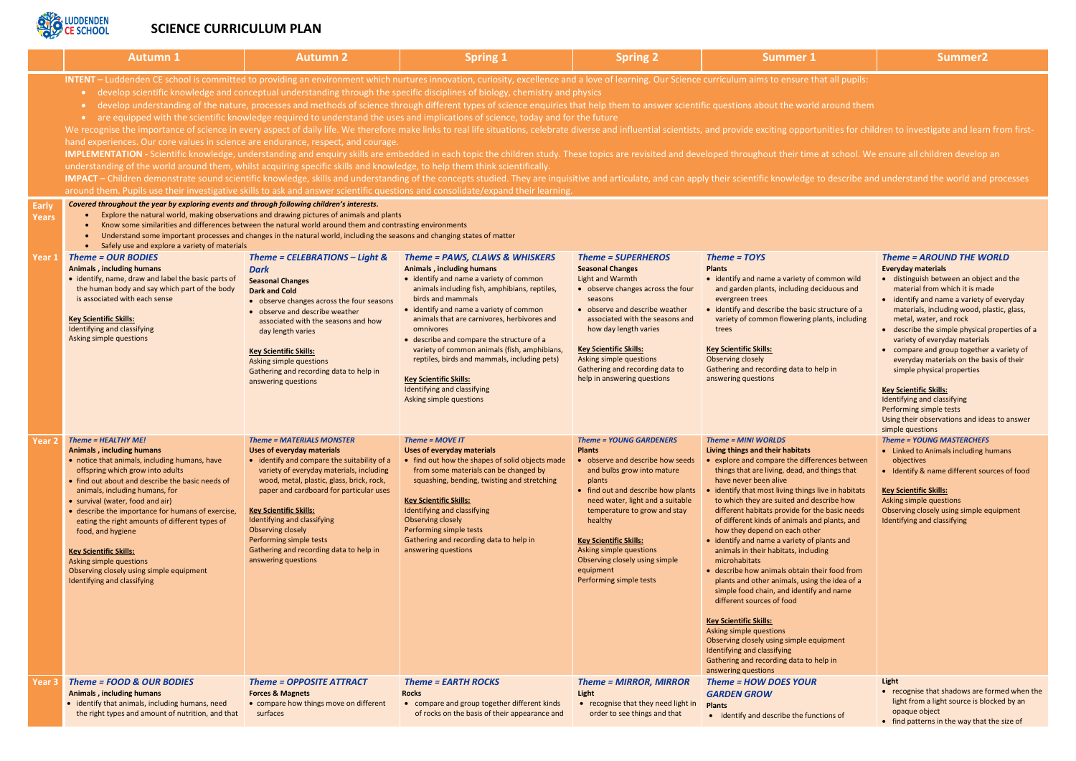

# **SCIENCE CURRICULUM PLAN**

|                              | <b>Autumn 1</b>                                                                                                                                                                                                                                                                                                                                                                                                                                                                                                                                                                                                                                                                                                                                                                                                                                                                                                                                                                                                                                                                                                                                                                                                                                                                                                                                                                                                                                                                                                                                                                                                                                                                                                                                                                                                                                                                                                                                                                                                                                                                                                                                                                               | <b>Autumn 2</b>                                                                                                                                                                                                                                                                                                                                                                                                                     | <b>Spring 1</b>                                                                                                                                                                                                                                                                                                                                                                                                                                                                                                                    | <b>Spring 2</b>                                                                                                                                                                                                                                                                                                                                                                      | <b>Summer 1</b>                                                                                                                                                                                                                                                                                                                                                                                                                                                                                                                                                                                                                                                                                                                                                                                                                                                                                                      | Summer <sub>2</sub>                                                                                                                                                                                                                                                                                                                                                                                                                                                                                                                      |
|------------------------------|-----------------------------------------------------------------------------------------------------------------------------------------------------------------------------------------------------------------------------------------------------------------------------------------------------------------------------------------------------------------------------------------------------------------------------------------------------------------------------------------------------------------------------------------------------------------------------------------------------------------------------------------------------------------------------------------------------------------------------------------------------------------------------------------------------------------------------------------------------------------------------------------------------------------------------------------------------------------------------------------------------------------------------------------------------------------------------------------------------------------------------------------------------------------------------------------------------------------------------------------------------------------------------------------------------------------------------------------------------------------------------------------------------------------------------------------------------------------------------------------------------------------------------------------------------------------------------------------------------------------------------------------------------------------------------------------------------------------------------------------------------------------------------------------------------------------------------------------------------------------------------------------------------------------------------------------------------------------------------------------------------------------------------------------------------------------------------------------------------------------------------------------------------------------------------------------------|-------------------------------------------------------------------------------------------------------------------------------------------------------------------------------------------------------------------------------------------------------------------------------------------------------------------------------------------------------------------------------------------------------------------------------------|------------------------------------------------------------------------------------------------------------------------------------------------------------------------------------------------------------------------------------------------------------------------------------------------------------------------------------------------------------------------------------------------------------------------------------------------------------------------------------------------------------------------------------|--------------------------------------------------------------------------------------------------------------------------------------------------------------------------------------------------------------------------------------------------------------------------------------------------------------------------------------------------------------------------------------|----------------------------------------------------------------------------------------------------------------------------------------------------------------------------------------------------------------------------------------------------------------------------------------------------------------------------------------------------------------------------------------------------------------------------------------------------------------------------------------------------------------------------------------------------------------------------------------------------------------------------------------------------------------------------------------------------------------------------------------------------------------------------------------------------------------------------------------------------------------------------------------------------------------------|------------------------------------------------------------------------------------------------------------------------------------------------------------------------------------------------------------------------------------------------------------------------------------------------------------------------------------------------------------------------------------------------------------------------------------------------------------------------------------------------------------------------------------------|
| <b>Early</b><br><b>Years</b> | INTENT - Luddenden CE school is committed to providing an environment which nurtures innovation, curiosity, excellence and a love of learning. Our Science curriculum aims to ensure that all pupils:<br>• develop scientific knowledge and conceptual understanding through the specific disciplines of biology, chemistry and physics<br>develop understanding of the nature, processes and methods of science through different types of science enquiries that help them to answer scientific questions about the world around them<br>$\bullet$<br>• are equipped with the scientific knowledge required to understand the uses and implications of science, today and for the future<br>We recognise the importance of science in every aspect of daily life. We therefore make links to real life situations, celebrate diverse and influential scientists, and provide exciting opportunities for children to invest<br>hand experiences. Our core values in science are endurance, respect, and courage.<br>IMPLEMENTATION - Scientific knowledge, understanding and enquiry skills are embedded in each topic the children study. These topics are revisited and developed throughout their time at school. We ensure all children develo<br>understanding of the world around them, whilst acquiring specific skills and knowledge, to help them think scientifically.<br>IMPACT – Children demonstrate sound scientific knowledge, skills and understanding of the concepts studied. They are inquisitive and articulate, and can apply their scientific knowledge to describe and understand the world<br>around them. Pupils use their investigative skills to ask and answer scientific questions and consolidate/expand their learning.<br>Covered throughout the year by exploring events and through following children's interests.<br>Explore the natural world, making observations and drawing pictures of animals and plants<br>Know some similarities and differences between the natural world around them and contrasting environments<br>Understand some important processes and changes in the natural world, including the seasons and changing states of matter |                                                                                                                                                                                                                                                                                                                                                                                                                                     |                                                                                                                                                                                                                                                                                                                                                                                                                                                                                                                                    |                                                                                                                                                                                                                                                                                                                                                                                      |                                                                                                                                                                                                                                                                                                                                                                                                                                                                                                                                                                                                                                                                                                                                                                                                                                                                                                                      |                                                                                                                                                                                                                                                                                                                                                                                                                                                                                                                                          |
| Year 1                       | • Safely use and explore a variety of materials<br><b>Theme = OUR BODIES</b><br><b>Animals, including humans</b><br>• identify, name, draw and label the basic parts of<br>the human body and say which part of the body<br>is associated with each sense<br><b>Key Scientific Skills:</b><br>Identifying and classifying<br>Asking simple questions                                                                                                                                                                                                                                                                                                                                                                                                                                                                                                                                                                                                                                                                                                                                                                                                                                                                                                                                                                                                                                                                                                                                                                                                                                                                                                                                                                                                                                                                                                                                                                                                                                                                                                                                                                                                                                          | Theme = CELEBRATIONS - Light &<br><b>Dark</b><br><b>Seasonal Changes</b><br><b>Dark and Cold</b><br>• observe changes across the four seasons<br>• observe and describe weather<br>associated with the seasons and how<br>day length varies<br><b>Key Scientific Skills:</b><br>Asking simple questions<br>Gathering and recording data to help in<br>answering questions                                                           | Theme = PAWS, CLAWS & WHISKERS<br><b>Animals, including humans</b><br>• identify and name a variety of common<br>animals including fish, amphibians, reptiles,<br>birds and mammals<br>• identify and name a variety of common<br>animals that are carnivores, herbivores and<br>omnivores<br>• describe and compare the structure of a<br>variety of common animals (fish, amphibians,<br>reptiles, birds and mammals, including pets)<br><b>Key Scientific Skills:</b><br>Identifying and classifying<br>Asking simple questions | <b>Theme = SUPERHEROS</b><br><b>Seasonal Changes</b><br>Light and Warmth<br>• observe changes across the four<br>seasons<br>• observe and describe weather<br>associated with the seasons and<br>how day length varies<br><b>Key Scientific Skills:</b><br>Asking simple questions<br>Gathering and recording data to<br>help in answering questions                                 | Theme = TOYS<br><b>Plants</b><br>• identify and name a variety of common wild<br>and garden plants, including deciduous and<br>evergreen trees<br>• identify and describe the basic structure of a<br>variety of common flowering plants, including<br>trees<br><b>Key Scientific Skills:</b><br><b>Observing closely</b><br>Gathering and recording data to help in<br>answering questions                                                                                                                                                                                                                                                                                                                                                                                                                                                                                                                          | <b>Theme = AROUND THE W</b><br><b>Everyday materials</b><br>· distinguish between an obje<br>material from which it is ma<br>• identify and name a variety<br>materials, including wood, p<br>metal, water, and rock<br>• describe the simple physical<br>variety of everyday materials<br>• compare and group together<br>everyday materials on the ba<br>simple physical properties<br><b>Key Scientific Skills:</b><br>Identifying and classifying<br>Performing simple tests<br>Using their observations and ide<br>simple questions |
| Year <sub>2</sub>            | Theme = HEALTHY ME!<br><b>Animals, including humans</b><br>• notice that animals, including humans, have<br>offspring which grow into adults<br>• find out about and describe the basic needs of<br>animals, including humans, for<br>• survival (water, food and air)<br>• describe the importance for humans of exercise,<br>eating the right amounts of different types of<br>food, and hygiene<br><b>Key Scientific Skills:</b><br>Asking simple questions<br>Observing closely using simple equipment<br>Identifying and classifying                                                                                                                                                                                                                                                                                                                                                                                                                                                                                                                                                                                                                                                                                                                                                                                                                                                                                                                                                                                                                                                                                                                                                                                                                                                                                                                                                                                                                                                                                                                                                                                                                                                     | <b>Theme = MATERIALS MONSTER</b><br>Uses of everyday materials<br>• identify and compare the suitability of a<br>variety of everyday materials, including<br>wood, metal, plastic, glass, brick, rock,<br>paper and cardboard for particular uses<br><b>Key Scientific Skills:</b><br>Identifying and classifying<br>Observing closely<br>Performing simple tests<br>Gathering and recording data to help in<br>answering questions | Theme = $MONEIT$<br>Uses of everyday materials<br>• find out how the shapes of solid objects made<br>from some materials can be changed by<br>squashing, bending, twisting and stretching<br><b>Key Scientific Skills:</b><br>Identifying and classifying<br><b>Observing closely</b><br>Performing simple tests<br>Gathering and recording data to help in<br>answering questions                                                                                                                                                 | <b>Theme = YOUNG GARDENERS</b><br><b>Plants</b><br>observe and describe how seeds<br>and bulbs grow into mature<br>plants<br>• find out and describe how plants<br>need water, light and a suitable<br>temperature to grow and stay<br>healthy<br><b>Key Scientific Skills:</b><br>Asking simple questions<br>Observing closely using simple<br>equipment<br>Performing simple tests | Theme = MINI WORLDS<br>Living things and their habitats<br>explore and compare the differences between<br>things that are living, dead, and things that<br>have never been alive<br>• identify that most living things live in habitats<br>to which they are suited and describe how<br>different habitats provide for the basic needs<br>of different kinds of animals and plants, and<br>how they depend on each other<br>• identify and name a variety of plants and<br>animals in their habitats, including<br>microhabitats<br>• describe how animals obtain their food from<br>plants and other animals, using the idea of a<br>simple food chain, and identify and name<br>different sources of food<br><b>Key Scientific Skills:</b><br>Asking simple questions<br>Observing closely using simple equipment<br>Identifying and classifying<br>Gathering and recording data to help in<br>answering questions | <b>Theme = YOUNG MASTERCHEFS</b><br>• Linked to Animals including h<br>objectives<br>• Identify & name different sor<br><b>Key Scientific Skills:</b><br>Asking simple questions<br>Observing closely using simple e<br>Identifying and classifying                                                                                                                                                                                                                                                                                      |
| Year 3                       | Theme = FOOD & OUR BODIES<br><b>Animals, including humans</b><br>• identify that animals, including humans, need<br>the right types and amount of nutrition, and that                                                                                                                                                                                                                                                                                                                                                                                                                                                                                                                                                                                                                                                                                                                                                                                                                                                                                                                                                                                                                                                                                                                                                                                                                                                                                                                                                                                                                                                                                                                                                                                                                                                                                                                                                                                                                                                                                                                                                                                                                         | <b>Theme = OPPOSITE ATTRACT</b><br><b>Forces &amp; Magnets</b><br>• compare how things move on different<br>surfaces                                                                                                                                                                                                                                                                                                                | <b>Theme = EARTH ROCKS</b><br><b>Rocks</b><br>• compare and group together different kinds<br>of rocks on the basis of their appearance and                                                                                                                                                                                                                                                                                                                                                                                        | <b>Theme = MIRROR, MIRROR</b><br>Light<br>• recognise that they need light in<br>order to see things and that                                                                                                                                                                                                                                                                        | Theme = HOW DOES YOUR<br><b>GARDEN GROW</b><br><b>Plants</b><br>• identify and describe the functions of                                                                                                                                                                                                                                                                                                                                                                                                                                                                                                                                                                                                                                                                                                                                                                                                             | Light<br>• recognise that shadows are f<br>light from a light source is ble<br>opaque object<br>find nottorns in the way that                                                                                                                                                                                                                                                                                                                                                                                                            |

| ۹   |  |  |  |
|-----|--|--|--|
| ٠   |  |  |  |
|     |  |  |  |
|     |  |  |  |
|     |  |  |  |
|     |  |  |  |
|     |  |  |  |
| . . |  |  |  |
|     |  |  |  |
|     |  |  |  |

- 
- tunities for children to investigate and learn from first-
- at school. We ensure all children develop an
- to describe and understand the world and processes

| of common wild<br>deciduous and<br>ic structure of a<br>plants, including<br>help in<br>erences between<br>nd things that<br>s live in habitats<br>describe how<br>the basic needs<br>and plants, and<br>her<br>f plants and<br>uding<br>their food from<br>ng the idea of a<br>fy and name<br>equipment<br>help in | <b>Theme = AROUND THE WORLD</b><br><b>Everyday materials</b><br>distinguish between an object and the<br>material from which it is made<br>identify and name a variety of everyday<br>materials, including wood, plastic, glass,<br>metal, water, and rock<br>describe the simple physical properties of a<br>variety of everyday materials<br>compare and group together a variety of<br>$\bullet$<br>everyday materials on the basis of their<br>simple physical properties<br><b>Key Scientific Skills:</b><br><b>Identifying and classifying</b><br>Performing simple tests<br>Using their observations and ideas to answer<br>simple questions<br><b>Theme = YOUNG MASTERCHEFS</b><br>Linked to Animals including humans<br>$\bullet$<br>objectives<br>Identify & name different sources of food<br>$\bullet$<br><b>Key Scientific Skills:</b><br>Asking simple questions<br>Observing closely using simple equipment<br><b>Identifying and classifying</b> |
|---------------------------------------------------------------------------------------------------------------------------------------------------------------------------------------------------------------------------------------------------------------------------------------------------------------------|------------------------------------------------------------------------------------------------------------------------------------------------------------------------------------------------------------------------------------------------------------------------------------------------------------------------------------------------------------------------------------------------------------------------------------------------------------------------------------------------------------------------------------------------------------------------------------------------------------------------------------------------------------------------------------------------------------------------------------------------------------------------------------------------------------------------------------------------------------------------------------------------------------------------------------------------------------------|
| R<br><b>nctions</b> of                                                                                                                                                                                                                                                                                              | <b>Light</b><br>recognise that shadows are formed when the<br>light from a light source is blocked by an<br>opaque object                                                                                                                                                                                                                                                                                                                                                                                                                                                                                                                                                                                                                                                                                                                                                                                                                                        |
|                                                                                                                                                                                                                                                                                                                     | find patterns in the way that the size of                                                                                                                                                                                                                                                                                                                                                                                                                                                                                                                                                                                                                                                                                                                                                                                                                                                                                                                        |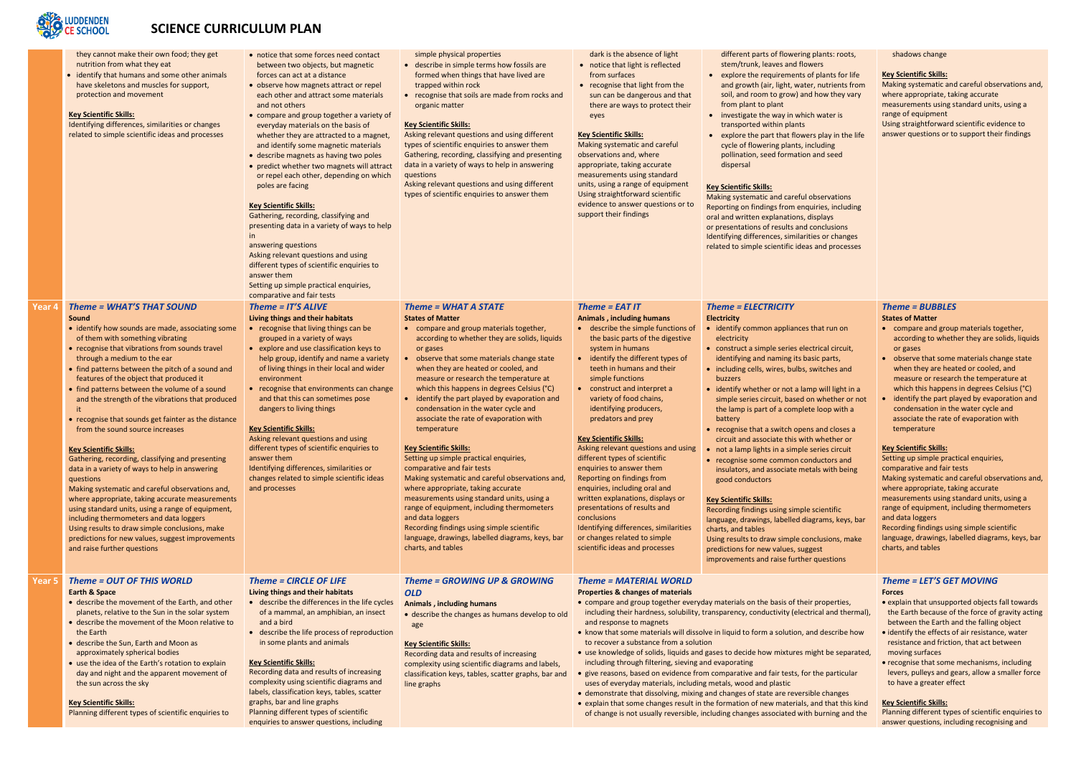# **SCIENCE CURRICULUM PLAN**

|        | they cannot make their own food; they get<br>nutrition from what they eat<br>identify that humans and some other animals<br>have skeletons and muscles for support,<br>protection and movement<br><b>Key Scientific Skills:</b><br>Identifying differences, similarities or changes<br>related to simple scientific ideas and processes                                                                                                                                                                                                                                                                                                                                                                                                                                                                                                                                                                                                                                                                         | • notice that some forces need contact<br>between two objects, but magnetic<br>forces can act at a distance<br>• observe how magnets attract or repel<br>each other and attract some materials<br>and not others<br>• compare and group together a variety of<br>everyday materials on the basis of<br>whether they are attracted to a magnet,<br>and identify some magnetic materials<br>• describe magnets as having two poles<br>• predict whether two magnets will attract<br>or repel each other, depending on which<br>poles are facing<br><b>Key Scientific Skills:</b><br>Gathering, recording, classifying and<br>presenting data in a variety of ways to help<br>in<br>answering questions<br>Asking relevant questions and using<br>different types of scientific enquiries to<br>answer them<br>Setting up simple practical enquiries,<br>comparative and fair tests | simple physical properties<br>• describe in simple terms how fossils are<br>formed when things that have lived are<br>trapped within rock<br>• recognise that soils are made from rocks and<br>organic matter<br><b>Key Scientific Skills:</b><br>Asking relevant questions and using different<br>types of scientific enquiries to answer them<br>Gathering, recording, classifying and presenting<br>data in a variety of ways to help in answering<br>questions<br>Asking relevant questions and using different<br>types of scientific enquiries to answer them                                                                                                                                                                                                                                                                                                                                                                    | dark is the absence of light<br>• notice that light is reflected<br>from surfaces<br>• recognise that light from the<br>sun can be dangerous and that<br>there are ways to protect their<br>eyes<br><b>Key Scientific Skills:</b><br>Making systematic and careful<br>observations and, where<br>appropriate, taking accurate<br>measurements using standard<br>units, using a range of equipment<br>Using straightforward scientific<br>evidence to answer questions or to<br>support their findings                                                                                                                                                                                                                                                | different parts of flowering plants: roots,<br>stem/trunk, leaves and flowers<br>• explore the requirements of plants for life<br>and growth (air, light, water, nutrients from<br>soil, and room to grow) and how they vary<br>from plant to plant<br>• investigate the way in which water is<br>transported within plants<br>• explore the part that flowers play in the life<br>cycle of flowering plants, including<br>pollination, seed formation and seed<br>dispersal<br><b>Key Scientific Skills:</b><br>Making systematic and careful observations<br>Reporting on findings from enquiries, including<br>oral and written explanations, displays<br>or presentations of results and conclusions<br>Identifying differences, similarities or changes<br>related to simple scientific ideas and processes                                                                                                                                                                             |
|--------|-----------------------------------------------------------------------------------------------------------------------------------------------------------------------------------------------------------------------------------------------------------------------------------------------------------------------------------------------------------------------------------------------------------------------------------------------------------------------------------------------------------------------------------------------------------------------------------------------------------------------------------------------------------------------------------------------------------------------------------------------------------------------------------------------------------------------------------------------------------------------------------------------------------------------------------------------------------------------------------------------------------------|----------------------------------------------------------------------------------------------------------------------------------------------------------------------------------------------------------------------------------------------------------------------------------------------------------------------------------------------------------------------------------------------------------------------------------------------------------------------------------------------------------------------------------------------------------------------------------------------------------------------------------------------------------------------------------------------------------------------------------------------------------------------------------------------------------------------------------------------------------------------------------|----------------------------------------------------------------------------------------------------------------------------------------------------------------------------------------------------------------------------------------------------------------------------------------------------------------------------------------------------------------------------------------------------------------------------------------------------------------------------------------------------------------------------------------------------------------------------------------------------------------------------------------------------------------------------------------------------------------------------------------------------------------------------------------------------------------------------------------------------------------------------------------------------------------------------------------|------------------------------------------------------------------------------------------------------------------------------------------------------------------------------------------------------------------------------------------------------------------------------------------------------------------------------------------------------------------------------------------------------------------------------------------------------------------------------------------------------------------------------------------------------------------------------------------------------------------------------------------------------------------------------------------------------------------------------------------------------|----------------------------------------------------------------------------------------------------------------------------------------------------------------------------------------------------------------------------------------------------------------------------------------------------------------------------------------------------------------------------------------------------------------------------------------------------------------------------------------------------------------------------------------------------------------------------------------------------------------------------------------------------------------------------------------------------------------------------------------------------------------------------------------------------------------------------------------------------------------------------------------------------------------------------------------------------------------------------------------------|
| Year 4 | <b>Theme = WHAT'S THAT SOUND</b><br>Sound<br>• identify how sounds are made, associating some<br>of them with something vibrating<br>• recognise that vibrations from sounds travel<br>through a medium to the ear<br>• find patterns between the pitch of a sound and<br>features of the object that produced it<br>• find patterns between the volume of a sound<br>and the strength of the vibrations that produced<br>• recognise that sounds get fainter as the distance<br>from the sound source increases<br><b>Key Scientific Skills:</b><br>Gathering, recording, classifying and presenting<br>data in a variety of ways to help in answering<br>questions<br>Making systematic and careful observations and,<br>where appropriate, taking accurate measurements<br>using standard units, using a range of equipment,<br>including thermometers and data loggers<br>Using results to draw simple conclusions, make<br>predictions for new values, suggest improvements<br>and raise further questions | Theme = $IT'S$ ALIVE<br>Living things and their habitats<br>• recognise that living things can be<br>grouped in a variety of ways<br>• explore and use classification keys to<br>help group, identify and name a variety<br>of living things in their local and wider<br>environment<br>• recognise that environments can change<br>and that this can sometimes pose<br>dangers to living things<br><b>Key Scientific Skills:</b><br>Asking relevant questions and using<br>different types of scientific enquiries to<br>answer them<br>Identifying differences, similarities or<br>changes related to simple scientific ideas<br>and processes                                                                                                                                                                                                                                 | <b>Theme = WHAT A STATE</b><br><b>States of Matter</b><br>• compare and group materials together,<br>according to whether they are solids, liquids<br>or gases<br>• observe that some materials change state<br>when they are heated or cooled, and<br>measure or research the temperature at<br>which this happens in degrees Celsius (°C)<br>• identify the part played by evaporation and<br>condensation in the water cycle and<br>associate the rate of evaporation with<br>temperature<br><b>Key Scientific Skills:</b><br>Setting up simple practical enquiries,<br>comparative and fair tests<br>Making systematic and careful observations and,<br>where appropriate, taking accurate<br>measurements using standard units, using a<br>range of equipment, including thermometers<br>and data loggers<br>Recording findings using simple scientific<br>language, drawings, labelled diagrams, keys, bar<br>charts, and tables | Theme = $EATIT$<br><b>Animals, including humans</b><br>• describe the simple functions of<br>the basic parts of the digestive<br>system in humans<br>• identify the different types of<br>teeth in humans and their<br>simple functions<br>• construct and interpret a<br>variety of food chains,<br>identifying producers,<br>predators and prey<br><b>Key Scientific Skills:</b><br>Asking relevant questions and using<br>different types of scientific<br>enquiries to answer them<br>Reporting on findings from<br>enquiries, including oral and<br>written explanations, displays or<br>presentations of results and<br>conclusions<br>Identifying differences, similarities<br>or changes related to simple<br>scientific ideas and processes | <b>Theme = ELECTRICITY</b><br><b>Electricity</b><br>• identify common appliances that run on<br>electricity<br>• construct a simple series electrical circuit,<br>identifying and naming its basic parts,<br>• including cells, wires, bulbs, switches and<br>buzzers<br>• identify whether or not a lamp will light in a<br>simple series circuit, based on whether or not<br>the lamp is part of a complete loop with a<br>battery<br>• recognise that a switch opens and closes a<br>circuit and associate this with whether or<br>not a lamp lights in a simple series circuit<br>• recognise some common conductors and<br>insulators, and associate metals with being<br>good conductors<br><b>Key Scientific Skills:</b><br>Recording findings using simple scientific<br>language, drawings, labelled diagrams, keys, bar<br>charts, and tables<br>Using results to draw simple conclusions, make<br>predictions for new values, suggest<br>improvements and raise further questions |
| Year 5 | <b>Theme = OUT OF THIS WORLD</b><br><b>Earth &amp; Space</b><br>• describe the movement of the Earth, and other<br>planets, relative to the Sun in the solar system<br>• describe the movement of the Moon relative to<br>the Earth<br>• describe the Sun, Earth and Moon as<br>approximately spherical bodies<br>• use the idea of the Earth's rotation to explain<br>day and night and the apparent movement of<br>the sun across the sky<br><b>Key Scientific Skills:</b><br>Planning different types of scientific enquiries to                                                                                                                                                                                                                                                                                                                                                                                                                                                                             | <b>Theme = CIRCLE OF LIFE</b><br>Living things and their habitats<br>• describe the differences in the life cycles<br>of a mammal, an amphibian, an insect<br>and a bird<br>• describe the life process of reproduction<br>in some plants and animals<br><b>Key Scientific Skills:</b><br>Recording data and results of increasing<br>complexity using scientific diagrams and<br>labels, classification keys, tables, scatter<br>graphs, bar and line graphs<br>Planning different types of scientific<br>enquiries to answer questions, including                                                                                                                                                                                                                                                                                                                              | Theme = GROWING UP & GROWING<br><b>OLD</b><br><b>Animals, including humans</b><br>• describe the changes as humans develop to old<br>age<br><b>Key Scientific Skills:</b><br>Recording data and results of increasing<br>complexity using scientific diagrams and labels,<br>classification keys, tables, scatter graphs, bar and<br>line graphs                                                                                                                                                                                                                                                                                                                                                                                                                                                                                                                                                                                       | <b>Theme = MATERIAL WORLD</b><br><b>Properties &amp; changes of materials</b><br>and response to magnets<br>to recover a substance from a solution<br>including through filtering, sieving and evaporating<br>uses of everyday materials, including metals, wood and plastic                                                                                                                                                                                                                                                                                                                                                                                                                                                                         | • compare and group together everyday materials on the basis of their properties,<br>including their hardness, solubility, transparency, conductivity (electrical and thermal),<br>• know that some materials will dissolve in liquid to form a solution, and describe how<br>• use knowledge of solids, liquids and gases to decide how mixtures might be separated,<br>• give reasons, based on evidence from comparative and fair tests, for the particular<br>• demonstrate that dissolving, mixing and changes of state are reversible changes<br>• explain that some changes result in the formation of new materials, and that this kind<br>of change is not usually reversible, including changes associated with burning and the                                                                                                                                                                                                                                                    |

| ng plants: roots,<br>owers                                                                                                                                                                                                                                                                                         | shadows change                                                                                                                                                                                                                                                                                                                                                                                                                                                                                                                                                                                                                                                                                                                                                                                                                                                                                                              |
|--------------------------------------------------------------------------------------------------------------------------------------------------------------------------------------------------------------------------------------------------------------------------------------------------------------------|-----------------------------------------------------------------------------------------------------------------------------------------------------------------------------------------------------------------------------------------------------------------------------------------------------------------------------------------------------------------------------------------------------------------------------------------------------------------------------------------------------------------------------------------------------------------------------------------------------------------------------------------------------------------------------------------------------------------------------------------------------------------------------------------------------------------------------------------------------------------------------------------------------------------------------|
| s of plants for life<br>ter, nutrients from<br>ind how they vary<br>nich water is<br>vers play in the life<br>including<br>on and seed<br>ul observations<br>nquiries, including<br>, displays<br>d conclusions<br>rities or changes<br>eas and processes                                                          | <b>Key Scientific Skills:</b><br>Making systematic and careful observations and,<br>where appropriate, taking accurate<br>measurements using standard units, using a<br>range of equipment<br>Using straightforward scientific evidence to<br>answer questions or to support their findings                                                                                                                                                                                                                                                                                                                                                                                                                                                                                                                                                                                                                                 |
|                                                                                                                                                                                                                                                                                                                    | <b>Theme = BUBBLES</b>                                                                                                                                                                                                                                                                                                                                                                                                                                                                                                                                                                                                                                                                                                                                                                                                                                                                                                      |
| es that run on<br>lectrical circuit,<br>basic parts,<br>s, switches and<br>amp will light in a<br>I on whether or not<br>lete loop with a<br>ens and closes a<br>vith whether or<br>le series circuit<br>onductors and<br>netals with being<br>le scientific<br>diagrams, keys, bar<br>conclusions, make<br>iggest | <b>States of Matter</b><br>compare and group materials together,<br>according to whether they are solids, liquids<br>or gases<br>observe that some materials change state<br>$\bullet$<br>when they are heated or cooled, and<br>measure or research the temperature at<br>which this happens in degrees Celsius (°C)<br>identify the part played by evaporation and<br>$\bullet$<br>condensation in the water cycle and<br>associate the rate of evaporation with<br>temperature<br><b>Key Scientific Skills:</b><br>Setting up simple practical enquiries,<br>comparative and fair tests<br>Making systematic and careful observations and,<br>where appropriate, taking accurate<br>measurements using standard units, using a<br>range of equipment, including thermometers<br>and data loggers<br>Recording findings using simple scientific<br>language, drawings, labelled diagrams, keys, bar<br>charts, and tables |
| ner questions                                                                                                                                                                                                                                                                                                      |                                                                                                                                                                                                                                                                                                                                                                                                                                                                                                                                                                                                                                                                                                                                                                                                                                                                                                                             |
| eir properties,<br>ctrical and thermal),<br>and describe how<br>might be separated,<br>or the particular <sup>-</sup><br>rsible changes                                                                                                                                                                            | <b>Theme = LET'S GET MOVING</b><br><b>Forces</b><br>• explain that unsupported objects fall towards<br>the Earth because of the force of gravity acting<br>between the Earth and the falling object<br>• identify the effects of air resistance, water<br>resistance and friction, that act between<br>moving surfaces<br>• recognise that some mechanisms, including<br>levers, pulleys and gears, allow a smaller force<br>to have a greater effect                                                                                                                                                                                                                                                                                                                                                                                                                                                                       |
| s, and that this kind<br>ith burning and the                                                                                                                                                                                                                                                                       | <u>Key Scientific Skills:</u><br>Planning different types of scientific enquiries to<br>answer questions, including recognising and                                                                                                                                                                                                                                                                                                                                                                                                                                                                                                                                                                                                                                                                                                                                                                                         |
|                                                                                                                                                                                                                                                                                                                    |                                                                                                                                                                                                                                                                                                                                                                                                                                                                                                                                                                                                                                                                                                                                                                                                                                                                                                                             |



**Year 5** *Theme = OUT OF THIS WORLD*